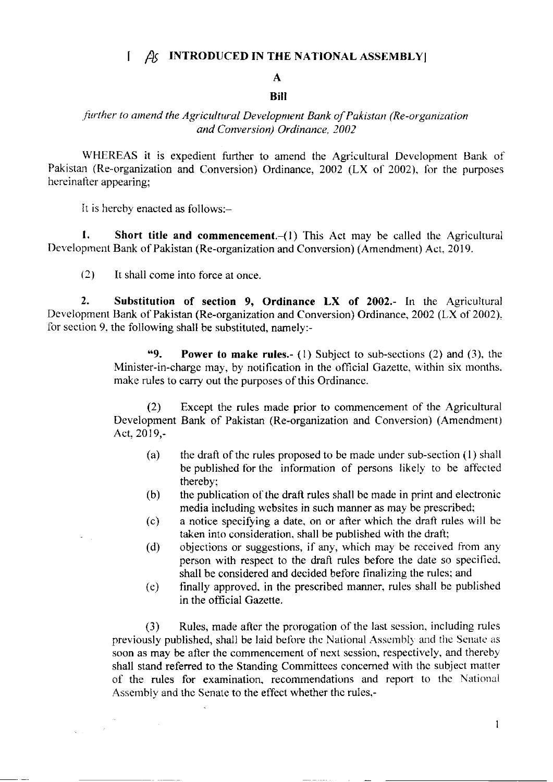## $\int$   $\beta$  INTRODUCED IN THE NATIONAL ASSEMBLY

## A **Bill**

## further to amend the Agricultural Development Bank of Pakistan (Re-organization and Conversion) Ordinance, 2002

WHEREAS it is expedient further to amend the Agricultural Development Bank of Pakistan (Re-organization and Conversion) Ordinance,  $2002$  (LX of 2002), for the purposes hereinatter appearing;

It is hereby enacted as follows:-

1. Short title and commencement. $-(1)$  This Act may be called the Agricultural Development Bank of Pakistan (Re-organization and Conversion) (Amendment) Act, 2019.

(2) It shall come into force at once

2. Substitution of section 9, Ordinance LX of 2002.- ln the Agricultural Development Bank of Pakistan (Re-organization and Conversion) Ordinance, 2002 (LX of 2002). for section 9. the following shall be substituted, namely:-

> "9. **Power to make rules.** (1) Subject to sub-sections (2) and (3), the Minister-in-charge may, by notification in the official Gazette, within six months. make rules to carry out the purposes of this Ordinance.

> (2) Except the rules made prior to commencement of the Agricultural Development Bank of Pakistan (Re-organization and Conversion) (Amendment) Act.2019,-

- (a) the drafl of thc rules proposed to be madc under sub-section (l) shall be published for thc information of persons likely' to be atfected thereby:
- (b) the publication of the draft rules shall bc made in print and electronic media including websites in such manner as may be prescribed;
- (c) a notice specifying a date, on or after which the draft rules w'ill be taken into consideration, shall be published with the draft;
- (d) objections or suggestions, if any, which may be received from any person with respect to the drafl rules before the date so specilicd. shall be considered and decided beforc finalizing the rules; and
- finally approved. in the prescribed manner, rules shall be published in the official Gazette. (e)

(3) Rules, made after the prorogation of the last scssion. including rules previously published, shall be laid before the National Assembly and the Senate as soon as may be after the commencement of next session, respectively, and thereby shall stand referred to the Standing Committees concerned with the subject matter of the rules for examination, recommendations and report to the National Assembly and the Senate to the effect whether the rules,-